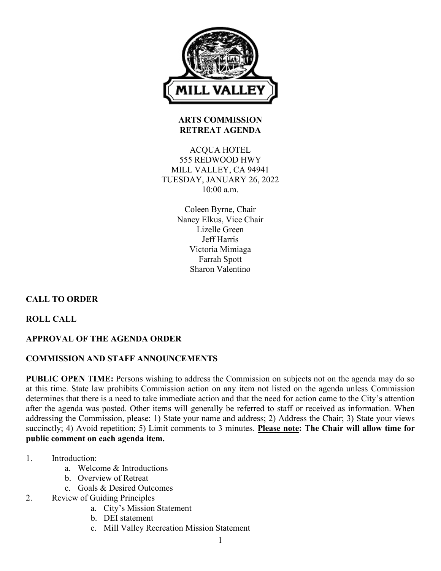

#### **ARTS COMMISSION RETREAT AGENDA**

ACQUA HOTEL 555 REDWOOD HWY MILL VALLEY, CA 94941 TUESDAY, JANUARY 26, 2022 10:00 a.m.

> Coleen Byrne, Chair Nancy Elkus, Vice Chair Lizelle Green Jeff Harris Victoria Mimiaga Farrah Spott Sharon Valentino

# **CALL TO ORDER**

**ROLL CALL**

# **APPROVAL OF THE AGENDA ORDER**

### **COMMISSION AND STAFF ANNOUNCEMENTS**

**PUBLIC OPEN TIME:** Persons wishing to address the Commission on subjects not on the agenda may do so at this time. State law prohibits Commission action on any item not listed on the agenda unless Commission determines that there is a need to take immediate action and that the need for action came to the City's attention after the agenda was posted. Other items will generally be referred to staff or received as information. When addressing the Commission, please: 1) State your name and address; 2) Address the Chair; 3) State your views succinctly; 4) Avoid repetition; 5) Limit comments to 3 minutes. **Please note: The Chair will allow time for public comment on each agenda item.**

- 1. Introduction:
	- a. Welcome & Introductions
	- b. Overview of Retreat
	- c. Goals & Desired Outcomes
- 2. Review of Guiding Principles
	- a. City's Mission Statement
	- b. DEI statement
	- c. Mill Valley Recreation Mission Statement